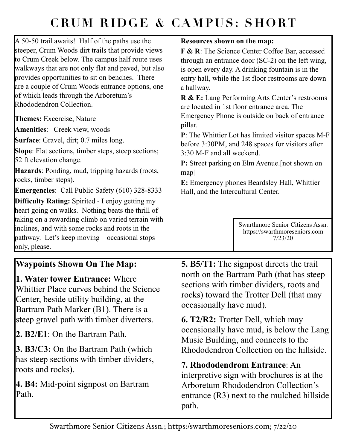## **CRUM RIDGE & CAMPUS: SHORT**

A 50-50 trail awaits! Half of the paths use the steeper, Crum Woods dirt trails that provide views to Crum Creek below. The campus half route uses walkways that are not only flat and paved, but also provides opportunities to sit on benches. There are a couple of Crum Woods entrance options, one of which leads through the Arboretum's Rhododendron Collection.

**Themes:** Excercise, Nature

**Amenities**: Creek view, woods

**Surface**: Gravel, dirt; 0.7 miles long.

**Slope**: Flat sections, timber steps, steep sections; 52 ft elevation change.

**Hazards**: Ponding, mud, tripping hazards (roots, rocks, timber steps).

**Emergencies**: Call Public Safety (610) 328-8333

**Difficulty Rating:** Spirited - I enjoy getting my heart going on walks. Nothing beats the thrill of taking on a rewarding climb on varied terrain with inclines, and with some rocks and roots in the pathway. Let's keep moving – occasional stops only, please.

## **Resources shown on the map:**

**F & R**: The Science Center Coffee Bar, accessed through an entrance door (SC-2) on the left wing, is open every day. A drinking fountain is in the entry hall, while the 1st floor restrooms are down a hallway.

**R & E:** Lang Performing Arts Center's restrooms are located in 1st floor entrance area. The Emergency Phone is outside on back of entrance pillar.

**P**: The Whittier Lot has limited visitor spaces M-F before 3:30PM, and 248 spaces for visitors after 3:30 M-F and all weekend.

**P:** Street parking on Elm Avenue. [not shown on map]

**E:** Emergency phones Beardsley Hall, Whittier Hall, and the Intercultural Center.

> Swarthmore Senior Citizens Assn. https://swarthmoreseniors.com 7/23/20

## **Waypoints Shown On The Map:**

**1. Water tower Entrance:** Where Whittier Place curves behind the Science Center, beside utility building, at the Bartram Path Marker (B1). There is a steep gravel path with timber diverters.

**2. B2/E1**: On the Bartram Path.

**3. B3/C3:** On the Bartram Path (which has steep sections with timber dividers, roots and rocks).

**4. B4:** Mid-point signpost on Bartram Path.

**5. B5/T1:** The signpost directs the trail north on the Bartram Path (that has steep sections with timber dividers, roots and rocks) toward the Trotter Dell (that may occasionally have mud).

**6. T2/R2:** Trotter Dell, which may occasionally have mud, is below the Lang Music Building, and connects to the Rhododendron Collection on the hillside.

**7. Rhododendrom Entrance**: An interpretive sign with brochures is at the Arboretum Rhododendron Collection's entrance (R3) next to the mulched hillside path.